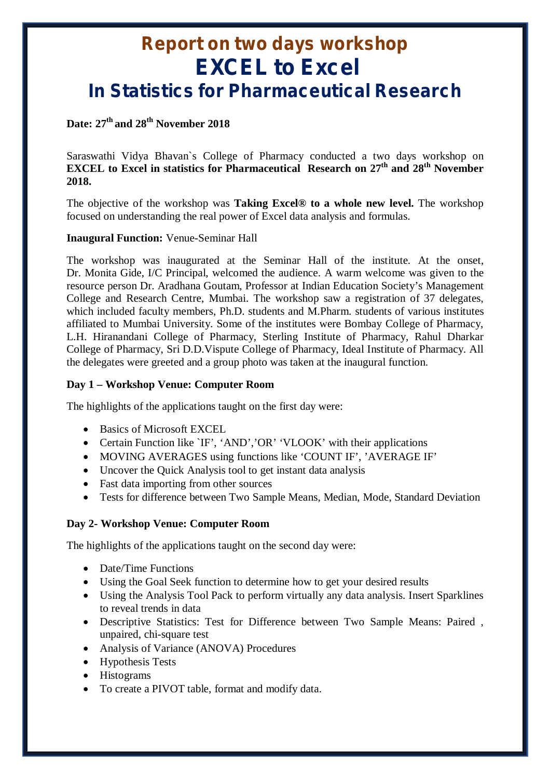# **Report on two days workshop EXCEL to Excel In Statistics for Pharmaceutical Research**

### **Date: 27th and 28th November 2018**

Saraswathi Vidya Bhavan`s College of Pharmacy conducted a two days workshop on **EXCEL to Excel in statistics for Pharmaceutical Research on 27th and 28th November 2018.**

The objective of the workshop was **Taking Excel® to a whole new level.** The workshop focused on understanding the real power of Excel data analysis and formulas.

#### **Inaugural Function:** Venue-Seminar Hall

The workshop was inaugurated at the Seminar Hall of the institute. At the onset, Dr. Monita Gide, I/C Principal, welcomed the audience. A warm welcome was given to the resource person Dr. Aradhana Goutam, Professor at Indian Education Society's Management College and Research Centre, Mumbai. The workshop saw a registration of 37 delegates, which included faculty members, Ph.D. students and M.Pharm. students of various institutes affiliated to Mumbai University. Some of the institutes were Bombay College of Pharmacy, L.H. Hiranandani College of Pharmacy, Sterling Institute of Pharmacy, Rahul Dharkar College of Pharmacy, Sri D.D.Vispute College of Pharmacy, Ideal Institute of Pharmacy. All the delegates were greeted and a group photo was taken at the inaugural function.

#### **Day 1 – Workshop Venue: Computer Room**

The highlights of the applications taught on the first day were:

- Basics of Microsoft EXCEL
- Certain Function like `IF', 'AND', 'OR' 'VLOOK' with their applications
- MOVING AVERAGES using functions like 'COUNT IF', 'AVERAGE IF'
- Uncover the Quick Analysis tool to get instant data analysis
- Fast data importing from other sources
- Tests for difference between Two Sample Means, Median, Mode, Standard Deviation

### **Day 2- Workshop Venue: Computer Room**

The highlights of the applications taught on the second day were:

- Date/Time Functions
- Using the Goal Seek function to determine how to get your desired results
- Using the Analysis Tool Pack to perform virtually any data analysis. Insert Sparklines to reveal trends in data
- Descriptive Statistics: Test for Difference between Two Sample Means: Paired , unpaired, chi-square test
- Analysis of Variance (ANOVA) Procedures
- Hypothesis Tests
- Histograms
- To create a PIVOT table, format and modify data.